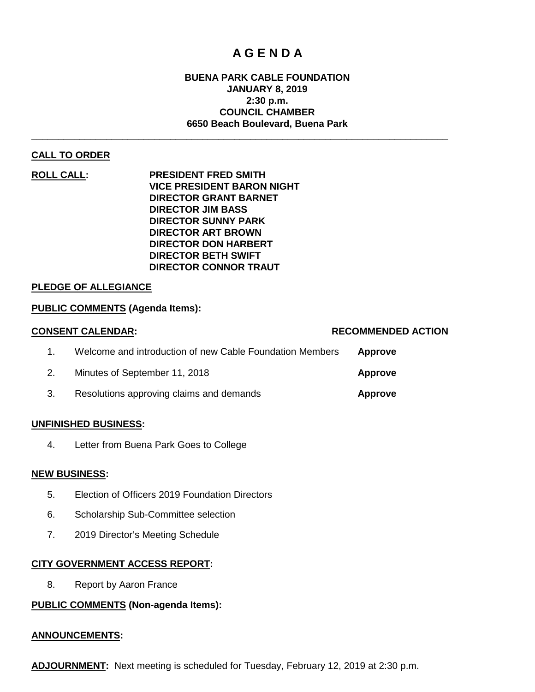# **A G E N D A**

# **BUENA PARK CABLE FOUNDATION JANUARY 8, 2019 2:30 p.m. COUNCIL CHAMBER 6650 Beach Boulevard, Buena Park**

**\_\_\_\_\_\_\_\_\_\_\_\_\_\_\_\_\_\_\_\_\_\_\_\_\_\_\_\_\_\_\_\_\_\_\_\_\_\_\_\_\_\_\_\_\_\_\_\_\_\_\_\_\_\_\_\_\_\_\_\_\_\_\_\_\_\_\_\_\_\_\_\_\_\_\_\_\_\_**

# **CALL TO ORDER**

**ROLL CALL: PRESIDENT FRED SMITH VICE PRESIDENT BARON NIGHT DIRECTOR GRANT BARNET DIRECTOR JIM BASS DIRECTOR SUNNY PARK DIRECTOR ART BROWN DIRECTOR DON HARBERT DIRECTOR BETH SWIFT DIRECTOR CONNOR TRAUT**

# **PLEDGE OF ALLEGIANCE**

#### **PUBLIC COMMENTS (Agenda Items):**

| <b>CONSENT CALENDAR:</b>                                 | <b>RECOMMENDED ACTION</b> |
|----------------------------------------------------------|---------------------------|
| Welcome and introduction of new Cable Foundation Members | <b>Approve</b>            |
| Minutes of September 11, 2018                            | Approve                   |
| Resolutions approving claims and demands                 | Approve                   |

#### **UNFINISHED BUSINESS:**

4. Letter from Buena Park Goes to College

#### **NEW BUSINESS:**

- 5. Election of Officers 2019 Foundation Directors
- 6. Scholarship Sub-Committee selection
- 7. 2019 Director's Meeting Schedule

# **CITY GOVERNMENT ACCESS REPORT:**

8. Report by Aaron France

# **PUBLIC COMMENTS (Non-agenda Items):**

#### **ANNOUNCEMENTS:**

**ADJOURNMENT:** Next meeting is scheduled for Tuesday, February 12, 2019 at 2:30 p.m.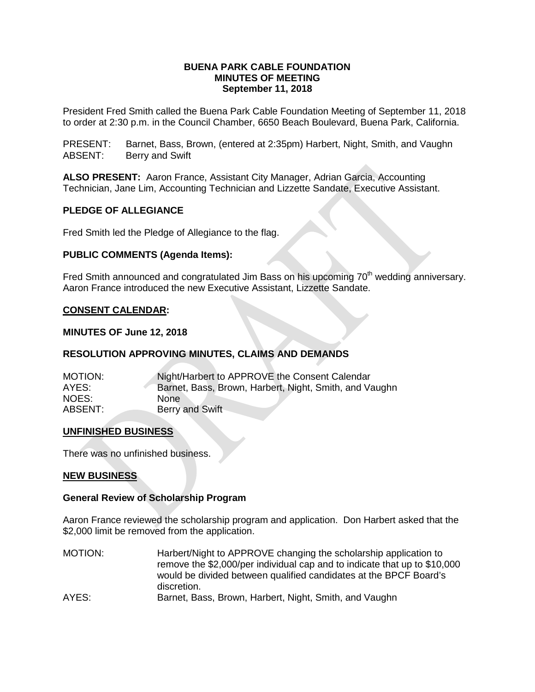# **BUENA PARK CABLE FOUNDATION MINUTES OF MEETING September 11, 2018**

President Fred Smith called the Buena Park Cable Foundation Meeting of September 11, 2018 to order at 2:30 p.m. in the Council Chamber, 6650 Beach Boulevard, Buena Park, California.

PRESENT: Barnet, Bass, Brown, (entered at 2:35pm) Harbert, Night, Smith, and Vaughn ABSENT: Berry and Swift

**ALSO PRESENT:** Aaron France, Assistant City Manager, Adrian Garcia, Accounting Technician, Jane Lim, Accounting Technician and Lizzette Sandate, Executive Assistant.

# **PLEDGE OF ALLEGIANCE**

Fred Smith led the Pledge of Allegiance to the flag.

# **PUBLIC COMMENTS (Agenda Items):**

Fred Smith announced and congratulated Jim Bass on his upcoming 70<sup>th</sup> wedding anniversary. Aaron France introduced the new Executive Assistant, Lizzette Sandate.

# **CONSENT CALENDAR:**

#### **MINUTES OF June 12, 2018**

#### **RESOLUTION APPROVING MINUTES, CLAIMS AND DEMANDS**

| <b>MOTION:</b> | Night/Harbert to APPROVE the Consent Calendar          |
|----------------|--------------------------------------------------------|
| AYES:          | Barnet, Bass, Brown, Harbert, Night, Smith, and Vaughn |
| NOES:          | None.                                                  |
| ABSENT:        | Berry and Swift                                        |

#### **UNFINISHED BUSINESS**

There was no unfinished business.

#### **NEW BUSINESS**

#### **General Review of Scholarship Program**

Aaron France reviewed the scholarship program and application. Don Harbert asked that the \$2,000 limit be removed from the application.

MOTION: Harbert/Night to APPROVE changing the scholarship application to remove the \$2,000/per individual cap and to indicate that up to \$10,000 would be divided between qualified candidates at the BPCF Board's discretion. AYES: Barnet, Bass, Brown, Harbert, Night, Smith, and Vaughn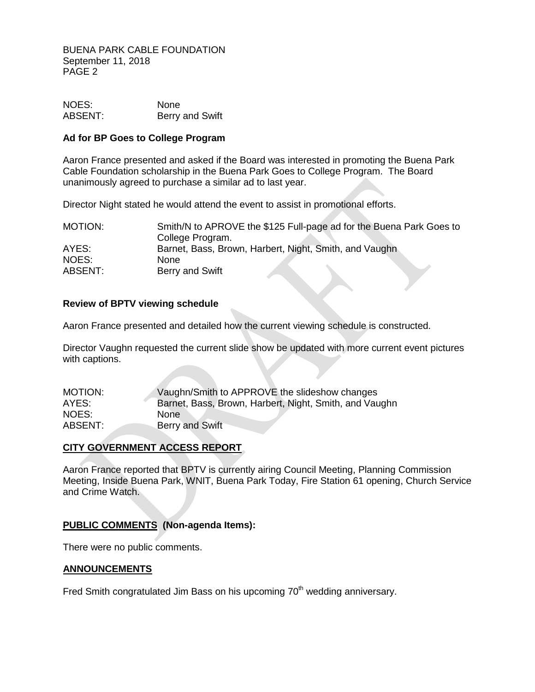BUENA PARK CABLE FOUNDATION September 11, 2018 PAGE 2

NOES: None<br>
ABSENT: Berry Berry and Swift

#### **Ad for BP Goes to College Program**

Aaron France presented and asked if the Board was interested in promoting the Buena Park Cable Foundation scholarship in the Buena Park Goes to College Program. The Board unanimously agreed to purchase a similar ad to last year.

Director Night stated he would attend the event to assist in promotional efforts.

| <b>MOTION:</b> | Smith/N to APROVE the \$125 Full-page ad for the Buena Park Goes to |
|----------------|---------------------------------------------------------------------|
|                | College Program.                                                    |
| AYES:          | Barnet, Bass, Brown, Harbert, Night, Smith, and Vaughn              |
| NOES:          | None                                                                |
| ABSENT:        | Berry and Swift                                                     |

# **Review of BPTV viewing schedule**

Aaron France presented and detailed how the current viewing schedule is constructed.

Director Vaughn requested the current slide show be updated with more current event pictures with captions.

| MOTION: | Vaughn/Smith to APPROVE the slideshow changes          |
|---------|--------------------------------------------------------|
| AYES:   | Barnet, Bass, Brown, Harbert, Night, Smith, and Vaughn |
| NOES:   | None                                                   |
| ABSENT: | Berry and Swift                                        |

# **CITY GOVERNMENT ACCESS REPORT**

Aaron France reported that BPTV is currently airing Council Meeting, Planning Commission Meeting, Inside Buena Park, WNIT, Buena Park Today, Fire Station 61 opening, Church Service and Crime Watch.

# **PUBLIC COMMENTS (Non-agenda Items):**

There were no public comments.

#### **ANNOUNCEMENTS**

Fred Smith congratulated Jim Bass on his upcoming 70<sup>th</sup> wedding anniversary.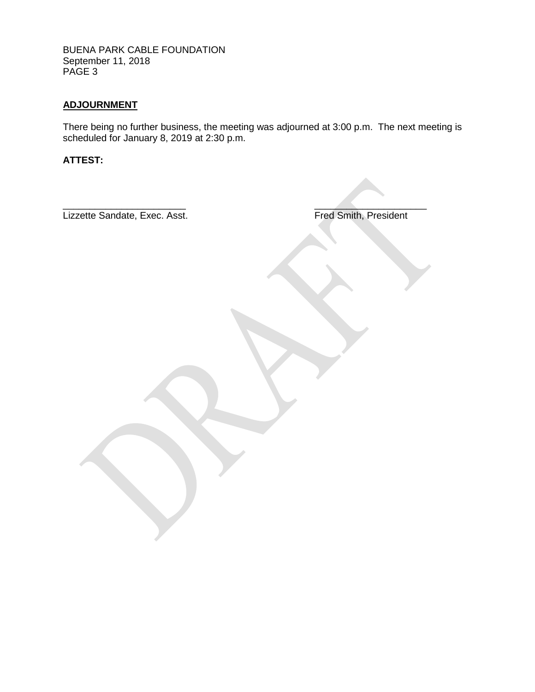BUENA PARK CABLE FOUNDATION September 11, 2018 PAGE 3

# **ADJOURNMENT**

There being no further business, the meeting was adjourned at 3:00 p.m. The next meeting is scheduled for January 8, 2019 at 2:30 p.m.

**ATTEST:**

 $\overline{\phantom{a}}$  , where  $\overline{\phantom{a}}$  , where  $\overline{\phantom{a}}$  , where  $\overline{\phantom{a}}$  , where  $\overline{\phantom{a}}$  , where  $\overline{\phantom{a}}$ Lizzette Sandate, Exec. Asst. **Fred Smith, President**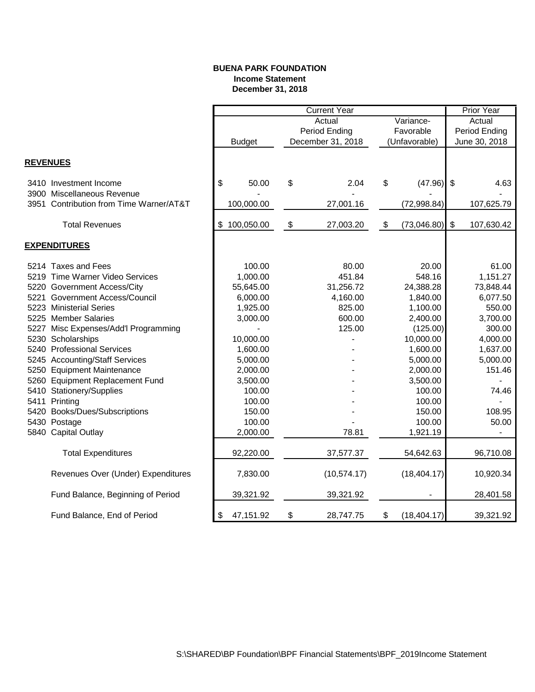#### **BUENA PARK FOUNDATION Income Statement December 31, 2018**

|                 |                                      |                  |                            | <b>Current Year</b> |           |               |                         | <b>Prior Year</b> |
|-----------------|--------------------------------------|------------------|----------------------------|---------------------|-----------|---------------|-------------------------|-------------------|
|                 |                                      |                  | Actual<br>Variance-        |                     |           | Actual        |                         |                   |
|                 |                                      |                  |                            | Period Ending       | Favorable |               | Period Ending           |                   |
|                 |                                      | <b>Budget</b>    |                            | December 31, 2018   |           | (Unfavorable) | June 30, 2018           |                   |
|                 |                                      |                  |                            |                     |           |               |                         |                   |
| <b>REVENUES</b> |                                      |                  |                            |                     |           |               |                         |                   |
|                 | 3410 Investment Income               | \$<br>50.00      | \$                         | 2.04                | \$        | (47.96)       | $\sqrt[6]{\frac{1}{2}}$ | 4.63              |
|                 | 3900 Miscellaneous Revenue           |                  |                            |                     |           |               |                         |                   |
| 3951            | Contribution from Time Warner/AT&T   | 100,000.00       |                            | 27,001.16           |           | (72,998.84)   |                         | 107,625.79        |
|                 | <b>Total Revenues</b>                | \$<br>100,050.00 | $\boldsymbol{\mathsf{\$}}$ | 27,003.20           | \$        | (73,046.80)   | $\frac{1}{2}$           | 107,630.42        |
|                 | <b>EXPENDITURES</b>                  |                  |                            |                     |           |               |                         |                   |
|                 |                                      |                  |                            |                     |           |               |                         |                   |
|                 | 5214 Taxes and Fees                  | 100.00           |                            | 80.00               |           | 20.00         |                         | 61.00             |
|                 | 5219 Time Warner Video Services      | 1,000.00         |                            | 451.84              |           | 548.16        |                         | 1,151.27          |
|                 | 5220 Government Access/City          | 55,645.00        |                            | 31,256.72           |           | 24,388.28     |                         | 73,848.44         |
|                 | 5221 Government Access/Council       | 6,000.00         |                            | 4,160.00            |           | 1,840.00      |                         | 6,077.50          |
|                 | 5223 Ministerial Series              | 1,925.00         |                            | 825.00              |           | 1,100.00      |                         | 550.00            |
|                 | 5225 Member Salaries                 | 3,000.00         |                            | 600.00              |           | 2,400.00      |                         | 3,700.00          |
|                 | 5227 Misc Expenses/Add'l Programming |                  |                            | 125.00              |           | (125.00)      |                         | 300.00            |
|                 | 5230 Scholarships                    | 10,000.00        |                            |                     |           | 10,000.00     |                         | 4,000.00          |
|                 | 5240 Professional Services           | 1,600.00         |                            |                     |           | 1,600.00      |                         | 1,637.00          |
|                 | 5245 Accounting/Staff Services       | 5,000.00         |                            |                     |           | 5,000.00      |                         | 5,000.00          |
|                 | 5250 Equipment Maintenance           | 2,000.00         |                            |                     |           | 2,000.00      |                         | 151.46            |
|                 | 5260 Equipment Replacement Fund      | 3,500.00         |                            |                     |           | 3,500.00      |                         |                   |
|                 | 5410 Stationery/Supplies             | 100.00           |                            |                     |           | 100.00        |                         | 74.46             |
| 5411            | Printing                             | 100.00           |                            |                     |           | 100.00        |                         |                   |
|                 | 5420 Books/Dues/Subscriptions        | 150.00           |                            |                     |           | 150.00        |                         | 108.95            |
|                 | 5430 Postage                         | 100.00           |                            |                     |           | 100.00        |                         | 50.00             |
|                 | 5840 Capital Outlay                  | 2,000.00         |                            | 78.81               |           | 1,921.19      |                         |                   |
|                 | <b>Total Expenditures</b>            | 92,220.00        |                            | 37,577.37           |           | 54,642.63     |                         | 96,710.08         |
|                 | Revenues Over (Under) Expenditures   | 7,830.00         |                            | (10, 574.17)        |           | (18, 404.17)  |                         | 10,920.34         |
|                 | Fund Balance, Beginning of Period    | 39,321.92        |                            | 39,321.92           |           |               |                         | 28,401.58         |
|                 | Fund Balance, End of Period          | \$<br>47,151.92  | \$                         | 28,747.75           | \$        | (18, 404.17)  |                         | 39,321.92         |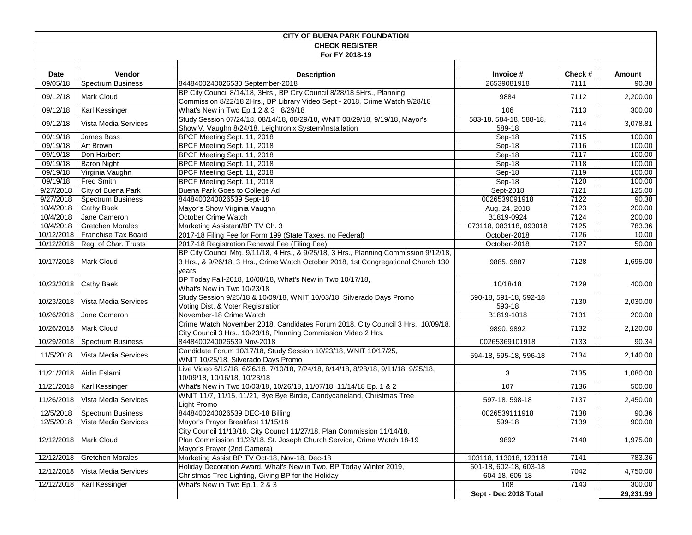| <b>CITY OF BUENA PARK FOUNDATION</b> |                                   |                                                                                                                                                                                      |                                          |         |           |  |
|--------------------------------------|-----------------------------------|--------------------------------------------------------------------------------------------------------------------------------------------------------------------------------------|------------------------------------------|---------|-----------|--|
| <b>CHECK REGISTER</b>                |                                   |                                                                                                                                                                                      |                                          |         |           |  |
|                                      |                                   | For FY 2018-19                                                                                                                                                                       |                                          |         |           |  |
|                                      |                                   |                                                                                                                                                                                      |                                          |         |           |  |
| Date                                 | Vendor                            | <b>Description</b>                                                                                                                                                                   | Invoice #                                | Check # | Amount    |  |
| 09/05/18                             | Spectrum Business                 | 8448400240026530 September-2018                                                                                                                                                      | 26539081918                              | 7111    | 90.38     |  |
| 09/12/18                             | <b>Mark Cloud</b>                 | BP City Council 8/14/18, 3Hrs., BP City Council 8/28/18 5Hrs., Planning<br>9884<br>Commission 8/22/18 2Hrs., BP Library Video Sept - 2018, Crime Watch 9/28/18                       |                                          | 7112    | 2,200.00  |  |
| 09/12/18                             | Karl Kessinger                    | What's New in Two Ep.1,2 & 3 8/29/18                                                                                                                                                 | 106                                      | 7113    | 300.00    |  |
| 09/12/18                             | Vista Media Services              | Study Session 07/24/18, 08/14/18, 08/29/18, WNIT 08/29/18, 9/19/18, Mayor's<br>583-18. 584-18, 588-18,<br>7114<br>Show V. Vaughn 8/24/18, Leightronix System/Installation<br>589-18  |                                          |         | 3,078.81  |  |
| 09/19/18                             | James Bass                        | BPCF Meeting Sept. 11, 2018                                                                                                                                                          | Sep-18                                   | 7115    | 100.00    |  |
| 09/19/18                             | Art Brown                         | BPCF Meeting Sept. 11, 2018                                                                                                                                                          | Sep-18                                   | 7116    | 100.00    |  |
| 09/19/18                             | Don Harbert                       | BPCF Meeting Sept. 11, 2018                                                                                                                                                          | Sep-18                                   | 7117    | 100.00    |  |
| 09/19/18                             | <b>Baron Night</b>                | BPCF Meeting Sept. 11, 2018                                                                                                                                                          | Sep-18                                   | 7118    | 100.00    |  |
| 09/19/18                             | Virginia Vaughn                   | BPCF Meeting Sept. 11, 2018                                                                                                                                                          | Sep-18                                   | 7119    | 100.00    |  |
| 09/19/18                             | <b>Fred Smith</b>                 | BPCF Meeting Sept. 11, 2018                                                                                                                                                          | Sep-18                                   | 7120    | 100.00    |  |
| 9/27/2018                            | City of Buena Park                | Buena Park Goes to College Ad                                                                                                                                                        | Sept-2018                                | 7121    | 125.00    |  |
| 9/27/2018                            | Spectrum Business                 | 8448400240026539 Sept-18                                                                                                                                                             | 0026539091918                            | 7122    | 90.38     |  |
| 10/4/2018                            | Cathy Baek                        | Mayor's Show Virginia Vaughn                                                                                                                                                         | Aug. 24, 2018                            | 7123    | 200.00    |  |
| 10/4/2018                            | Jane Cameron                      | October Crime Watch                                                                                                                                                                  | B1819-0924                               | 7124    | 200.00    |  |
| 10/4/2018                            | <b>Gretchen Morales</b>           | Marketing Assistant/BP TV Ch. 3                                                                                                                                                      | 073118, 083118, 093018                   | 7125    | 783.36    |  |
| 10/12/2018                           | Franchise Tax Board               | 2017-18 Filing Fee for Form 199 (State Taxes, no Federal)<br>October-2018                                                                                                            |                                          | 7126    | 10.00     |  |
|                                      | 10/12/2018   Reg. of Char. Trusts | 2017-18 Registration Renewal Fee (Filing Fee)                                                                                                                                        | October-2018                             | 7127    | 50.00     |  |
|                                      | 10/17/2018   Mark Cloud           | BP City Council Mtg. 9/11/18, 4 Hrs., & 9/25/18, 3 Hrs., Planning Commission 9/12/18,<br>3 Hrs., & 9/26/18, 3 Hrs., Crime Watch October 2018, 1st Congregational Church 130<br>years | 9885, 9887                               | 7128    | 1,695.00  |  |
| 10/23/2018                           | Cathy Baek                        | BP Today Fall-2018, 10/08/18, What's New in Two 10/17/18,<br>What's New in Two 10/23/18                                                                                              | 10/18/18                                 | 7129    | 400.00    |  |
| 10/23/2018                           | Vista Media Services              | Study Session 9/25/18 & 10/09/18, WNIT 10/03/18, Silverado Days Promo<br>Voting Dist. & Voter Registration                                                                           | 590-18, 591-18, 592-18<br>593-18         | 7130    | 2,030.00  |  |
| 10/26/2018                           | Jane Cameron                      | November-18 Crime Watch                                                                                                                                                              | B1819-1018                               | 7131    | 200.00    |  |
|                                      | 10/26/2018   Mark Cloud           | Crime Watch November 2018, Candidates Forum 2018, City Council 3 Hrs., 10/09/18,<br>City Council 3 Hrs., 10/23/18, Planning Commission Video 2 Hrs.                                  | 9890, 9892                               | 7132    | 2,120.00  |  |
| 10/29/2018                           | Spectrum Business                 | 8448400240026539 Nov-2018                                                                                                                                                            | 00265369101918                           | 7133    | 90.34     |  |
| 11/5/2018                            | Vista Media Services              | Candidate Forum 10/17/18, Study Session 10/23/18, WNIT 10/17/25,<br>WNIT 10/25/18, Silverado Days Promo                                                                              | 594-18, 595-18, 596-18                   | 7134    | 2,140.00  |  |
|                                      | 11/21/2018   Aidin Eslami         | Live Video 6/12/18, 6/26/18, 7/10/18, 7/24/18, 8/14/18, 8/28/18, 9/11/18, 9/25/18,<br>10/09/18, 10/16/18, 10/23/18                                                                   | 3                                        | 7135    | 1,080.00  |  |
|                                      | 11/21/2018   Karl Kessinger       | What's New in Two 10/03/18, 10/26/18, 11/07/18, 11/14/18 Ep. 1 & 2                                                                                                                   | 107                                      | 7136    | 500.00    |  |
| 11/26/2018                           | Vista Media Services              | WNIT 11/7, 11/15, 11/21, Bye Bye Birdie, Candycaneland, Christmas Tree<br>Light Promo                                                                                                | 597-18, 598-18                           | 7137    | 2,450.00  |  |
|                                      | 12/5/2018   Spectrum Business     | 8448400240026539 DEC-18 Billing                                                                                                                                                      | 0026539111918                            | 7138    | 90.36     |  |
|                                      | 12/5/2018   Vista Media Services  | Mayor's Prayor Breakfast 11/15/18                                                                                                                                                    | 599-18                                   | 7139    | 900.00    |  |
|                                      | 12/12/2018   Mark Cloud           | City Council 11/13/18, City Council 11/27/18, Plan Commission 11/14/18,<br>Plan Commission 11/28/18, St. Joseph Church Service, Crime Watch 18-19<br>Mayor's Prayer (2nd Camera)     | 9892                                     | 7140    | 1,975.00  |  |
| 12/12/2018                           | <b>Gretchen Morales</b>           | Marketing Assist BP TV Oct-18, Nov-18, Dec-18                                                                                                                                        | 103118, 113018, 123118                   | 7141    | 783.36    |  |
| 12/12/2018                           | Vista Media Services              | Holiday Decoration Award, What's New in Two, BP Today Winter 2019,<br>Christmas Tree Lighting, Giving BP for the Holiday                                                             | 601-18, 602-18, 603-18<br>604-18, 605-18 | 7042    | 4,750.00  |  |
|                                      | 12/12/2018   Karl Kessinger       | What's New in Two Ep.1, 2 & 3                                                                                                                                                        | 108                                      | 7143    | 300.00    |  |
|                                      |                                   |                                                                                                                                                                                      | Sept - Dec 2018 Total                    |         | 29,231.99 |  |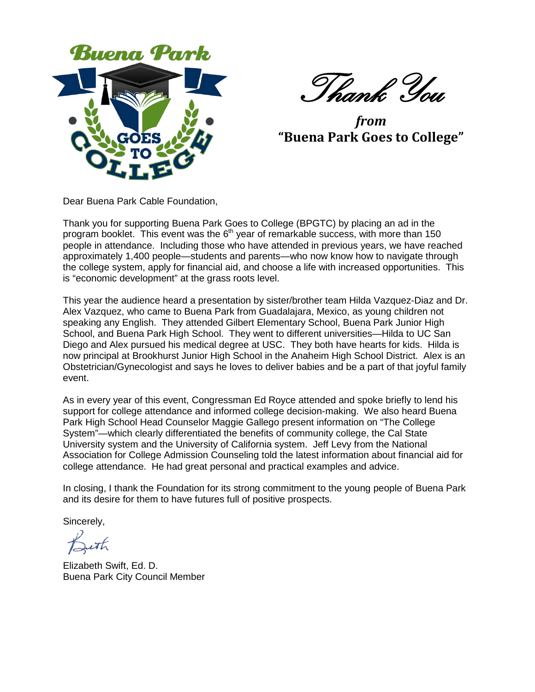

Thank You

*from* **"Buena Park Goes to College"**

Dear Buena Park Cable Foundation,

Thank you for supporting Buena Park Goes to College (BPGTC) by placing an ad in the program booklet. This event was the  $6<sup>th</sup>$  year of remarkable success, with more than 150 people in attendance. Including those who have attended in previous years, we have reached approximately 1,400 people—students and parents—who now know how to navigate through the college system, apply for financial aid, and choose a life with increased opportunities. This is "economic development" at the grass roots level.

This year the audience heard a presentation by sister/brother team Hilda Vazquez-Diaz and Dr. Alex Vazquez, who came to Buena Park from Guadalajara, Mexico, as young children not speaking any English. They attended Gilbert Elementary School, Buena Park Junior High School, and Buena Park High School. They went to different universities—Hilda to UC San Diego and Alex pursued his medical degree at USC. They both have hearts for kids. Hilda is now principal at Brookhurst Junior High School in the Anaheim High School District. Alex is an Obstetrician/Gynecologist and says he loves to deliver babies and be a part of that joyful family event.

As in every year of this event, Congressman Ed Royce attended and spoke briefly to lend his support for college attendance and informed college decision-making. We also heard Buena Park High School Head Counselor Maggie Gallego present information on "The College System"—which clearly differentiated the benefits of community college, the Cal State University system and the University of California system. Jeff Levy from the National Association for College Admission Counseling told the latest information about financial aid for college attendance. He had great personal and practical examples and advice.

In closing, I thank the Foundation for its strong commitment to the young people of Buena Park and its desire for them to have futures full of positive prospects.

Sincerely,

Ieth

Elizabeth Swift, Ed. D. Buena Park City Council Member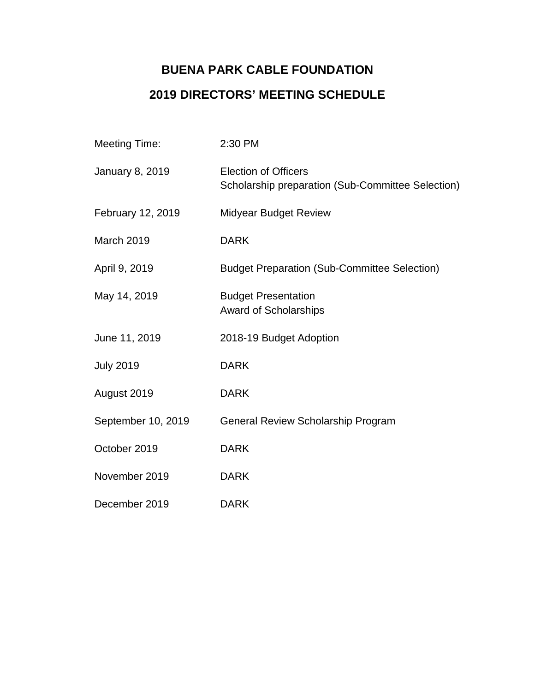# **BUENA PARK CABLE FOUNDATION 2019 DIRECTORS' MEETING SCHEDULE**

| <b>Meeting Time:</b>   | 2:30 PM                                                                          |
|------------------------|----------------------------------------------------------------------------------|
| <b>January 8, 2019</b> | <b>Election of Officers</b><br>Scholarship preparation (Sub-Committee Selection) |
| February 12, 2019      | <b>Midyear Budget Review</b>                                                     |
| March 2019             | <b>DARK</b>                                                                      |
| April 9, 2019          | <b>Budget Preparation (Sub-Committee Selection)</b>                              |
| May 14, 2019           | <b>Budget Presentation</b><br><b>Award of Scholarships</b>                       |
| June 11, 2019          | 2018-19 Budget Adoption                                                          |
| <b>July 2019</b>       | <b>DARK</b>                                                                      |
| August 2019            | <b>DARK</b>                                                                      |
| September 10, 2019     | General Review Scholarship Program                                               |
| October 2019           | <b>DARK</b>                                                                      |
| November 2019          | <b>DARK</b>                                                                      |
| December 2019          | <b>DARK</b>                                                                      |